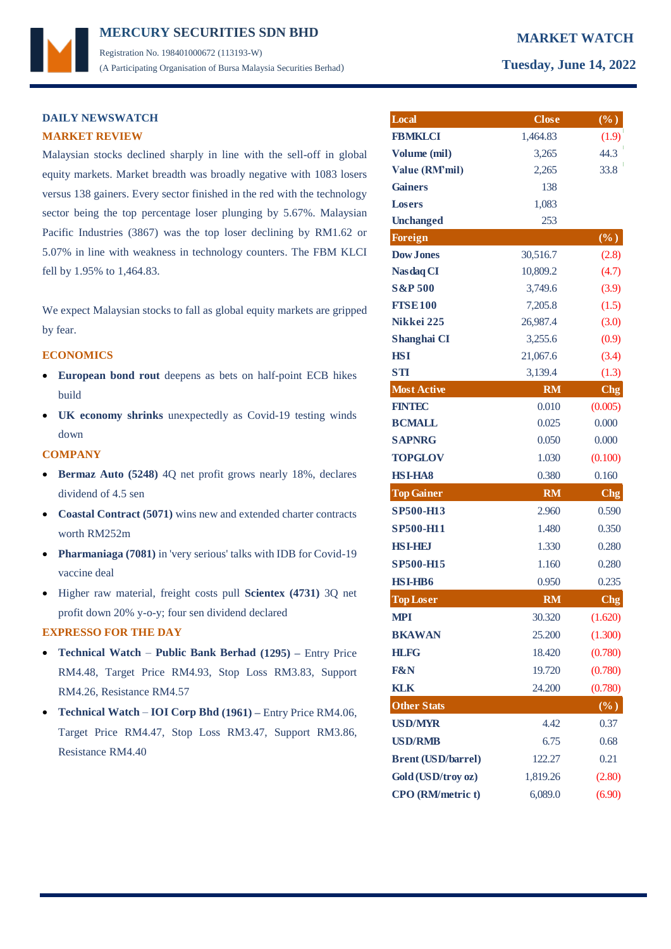# **MERCURY MARKET WATCH SECURITIES SDN BHD**  Registration No. 198401000672 (113193-W) (A Participating Organisation of Bursa Malaysia Securities Berhad) **Tuesday, June 14, 2022**

## **DAILY NEWSWATCH MARKET REVIEW**

Malaysian stocks declined sharply in line with the sell-off in global equity markets. Market breadth was broadly negative with 1083 losers versus 138 gainers. Every sector finished in the red with the technology sector being the top percentage loser plunging by 5.67%. Malaysian Pacific Industries (3867) was the top loser declining by RM1.62 or 5.07% in line with weakness in technology counters. The FBM KLCI fell by 1.95% to 1,464.83.

We expect Malaysian stocks to fall as global equity markets are gripped by fear.

### **ECONOMICS**

- **European bond rout** deepens as bets on half-point ECB hikes build
- **UK economy shrinks** unexpectedly as Covid-19 testing winds down

### **COMPANY**

- **Bermaz Auto (5248)** 4Q net profit grows nearly 18%, declares dividend of 4.5 sen
- **Coastal Contract (5071)** wins new and extended charter contracts worth RM252m
- **Pharmaniaga (7081)** in 'very serious' talks with IDB for Covid-19 vaccine deal
- Higher raw material, freight costs pull **Scientex (4731)** 3Q net profit down 20% y-o-y; four sen dividend declared

### **EXPRESSO FOR THE DAY**

- **Technical Watch Public Bank Berhad (1295) –** Entry Price RM4.48, Target Price RM4.93, Stop Loss RM3.83, Support RM4.26, Resistance RM4.57
- **Technical Watch IOI Corp Bhd (1961) –** Entry Price RM4.06, Target Price RM4.47, Stop Loss RM3.47, Support RM3.86, Resistance RM4.40

| Local                     | <b>Close</b> | $(\%)$          |
|---------------------------|--------------|-----------------|
| <b>FBMKLCI</b>            | 1,464.83     | (1.9)           |
| Volume (mil)              | 3,265        | 44.3            |
| Value (RM'mil)            | 2,265        | 33.8            |
| <b>Gainers</b>            | 138          |                 |
| <b>Losers</b>             | 1,083        |                 |
| <b>Unchanged</b>          | 253          |                 |
| <b>Foreign</b>            |              | $(\%)$          |
| <b>Dow Jones</b>          | 30,516.7     | (2.8)           |
| <b>Nasdaq CI</b>          | 10,809.2     | (4.7)           |
| <b>S&amp;P 500</b>        | 3,749.6      | (3.9)           |
| <b>FISE100</b>            | 7,205.8      | (1.5)           |
| Nikkei 225                | 26,987.4     | (3.0)           |
| Shanghai CI               | 3,255.6      | (0.9)           |
| <b>HSI</b>                | 21,067.6     | (3.4)           |
| <b>STI</b>                | 3,139.4      | (1.3)           |
| <b>Most Active</b>        | RM           | C <sub>ng</sub> |
| <b>FINTEC</b>             | 0.010        | (0.005)         |
| <b>BCMALL</b>             | 0.025        | 0.000           |
| <b>SAPNRG</b>             | 0.050        | 0.000           |
| <b>TOPGLOV</b>            | 1.030        | (0.100)         |
| <b>HSI-HA8</b>            | 0.380        | 0.160           |
| <b>Top Gainer</b>         | <b>RM</b>    | C <sub>ng</sub> |
| SP500-H13                 | 2.960        | 0.590           |
| <b>SP500-H11</b>          | 1.480        | 0.350           |
| <b>HSI-HEI</b>            | 1.330        | 0.280           |
| <b>SP500-H15</b>          | 1.160        | 0.280           |
| <b>HSI-HB6</b>            | 0.950        | 0.235           |
| <b>Top Loser</b>          | <b>RM</b>    | Chg             |
| <b>MPI</b>                | 30.320       | (1.620)         |
| <b>BKAWAN</b>             | 25.200       | (1.300)         |
| <b>HLFG</b>               | 18.420       | (0.780)         |
| <b>F&amp;N</b>            | 19.720       | (0.780)         |
| <b>KLK</b>                | 24.200       | (0.780)         |
| <b>Other Stats</b>        |              | $(\%)$          |
| <b>USD/MYR</b>            | 4.42         | 0.37            |
| <b>USD/RMB</b>            | 6.75         | 0.68            |
| <b>Brent (USD/barrel)</b> | 122.27       | 0.21            |
| Gold (USD/troy oz)        | 1,819.26     | (2.80)          |
| CPO (RM/metric t)         | 6,089.0      | (6.90)          |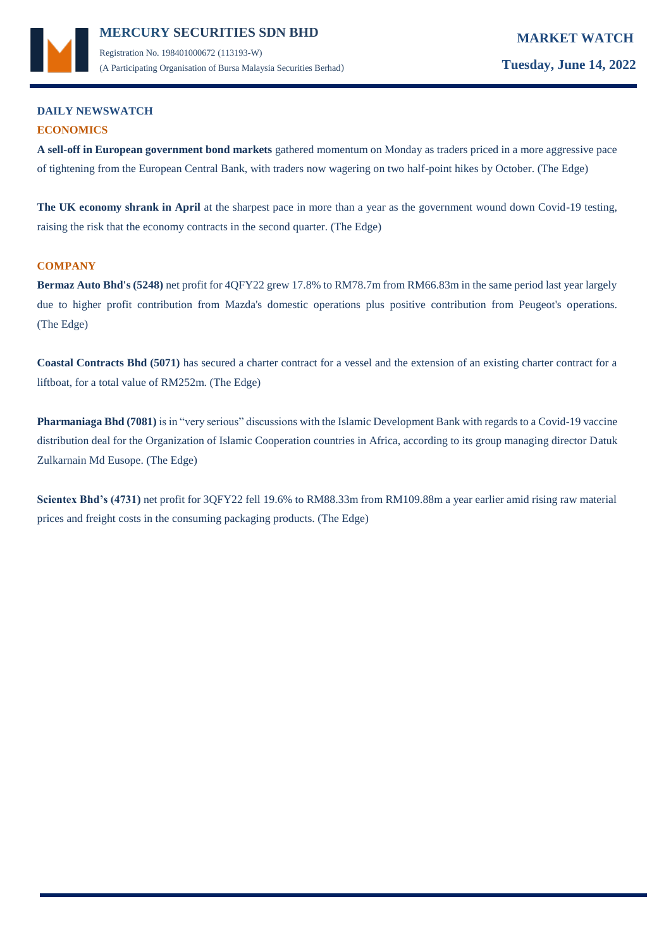

## **DAILY NEWSWATCH ECONOMICS**

**A sell-off in European government bond markets** gathered momentum on Monday as traders priced in a more aggressive pace of tightening from the European Central Bank, with traders now wagering on two half-point hikes by October. (The Edge)

**The UK economy shrank in April** at the sharpest pace in more than a year as the government wound down Covid-19 testing, raising the risk that the economy contracts in the second quarter. (The Edge)

## **COMPANY**

**Bermaz Auto Bhd's (5248)** net profit for 4QFY22 grew 17.8% to RM78.7m from RM66.83m in the same period last year largely due to higher profit contribution from Mazda's domestic operations plus positive contribution from Peugeot's operations. (The Edge)

**Coastal Contracts Bhd (5071)** has secured a charter contract for a vessel and the extension of an existing charter contract for a liftboat, for a total value of RM252m. (The Edge)

**Pharmaniaga Bhd (7081)** is in "very serious" discussions with the Islamic Development Bank with regards to a Covid-19 vaccine distribution deal for the Organization of Islamic Cooperation countries in Africa, according to its group managing director Datuk Zulkarnain Md Eusope. (The Edge)

**Scientex Bhd's (4731)** net profit for 3QFY22 fell 19.6% to RM88.33m from RM109.88m a year earlier amid rising raw material prices and freight costs in the consuming packaging products. (The Edge)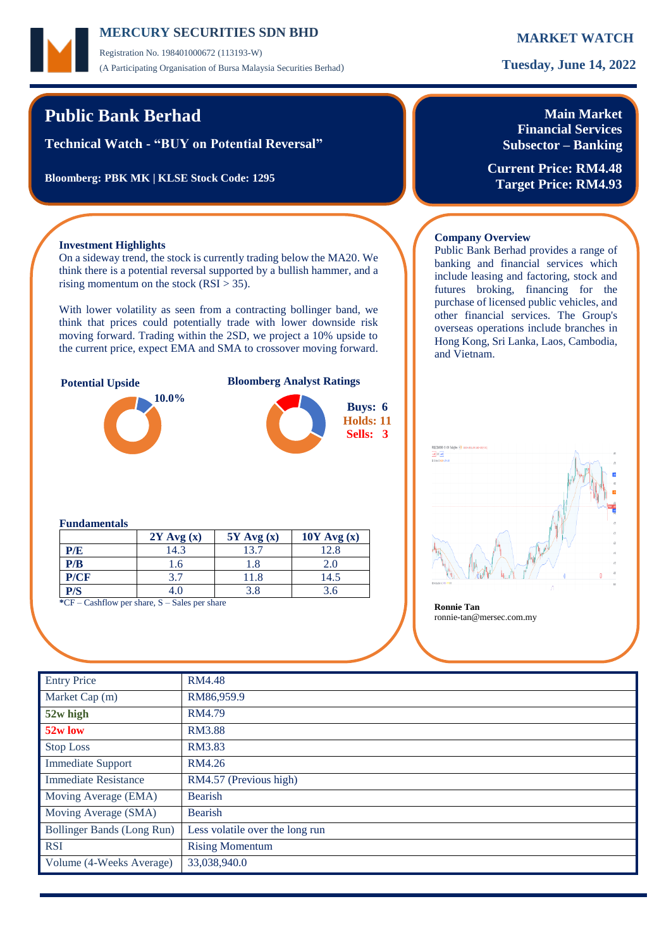Registration No. 198401000672 (113193-W) (A Participating Organisation of Bursa Malaysia Securities Berhad) **Tuesday, June 14, 2022**

# **Public Bank Berhad**

**Technical Watch - "BUY on Potential Reversal"**

**Bloomberg: PBK MK | KLSE Stock Code: 1295**

## **Main Market Financial Services Subsector – Banking**

**Current Price: RM4.48 Target Price: RM4.93**

### **Investment Highlights**

On a sideway trend, the stock is currently trading below the MA20. We think there is a potential reversal supported by a bullish hammer, and a rising momentum on the stock  $(RSI > 35)$ .

With lower volatility as seen from a contracting bollinger band, we think that prices could potentially trade with lower downside risk moving forward. Trading within the 2SD, we project a 10% upside to the current price, expect EMA and SMA to crossover moving forward.



### **Fundamentals**

|                                                             | $2Y$ Avg $(x)$ | $5Y$ Avg $(x)$ | $10Y$ Avg $(x)$ |  |  |  |  |
|-------------------------------------------------------------|----------------|----------------|-----------------|--|--|--|--|
| P/E                                                         | 14.3           | 13.7           | 12.8            |  |  |  |  |
| P/B                                                         | 1.6            | 1.8            | 2.0             |  |  |  |  |
| P/CF                                                        | 37             | 11.8           | 14.5            |  |  |  |  |
| P/S                                                         | 4.0            | 3.8            | 3.6             |  |  |  |  |
| $C = \text{Coshflow}$ par share $S = \text{Cake}$ par share |                |                |                 |  |  |  |  |

**CF** – Cashflow per share, S – Sales per share **Ronnie Tan** 

### **Company Overview**

Public Bank Berhad provides a range of banking and financial services which include leasing and factoring, stock and futures broking, financing for the purchase of licensed public vehicles, and other financial services. The Group's overseas operations include branches in Hong Kong, Sri Lanka, Laos, Cambodia, and Vietnam.



ronnie-tan@mersec.com.my

| <b>Entry Price</b>          | <b>RM4.48</b>                   |
|-----------------------------|---------------------------------|
| Market Cap (m)              | RM86,959.9                      |
| 52w high                    | RM4.79                          |
| 52w low                     | <b>RM3.88</b>                   |
| <b>Stop Loss</b>            | RM3.83                          |
| <b>Immediate Support</b>    | RM4.26                          |
| <b>Immediate Resistance</b> | RM4.57 (Previous high)          |
| Moving Average (EMA)        | <b>Bearish</b>                  |
| Moving Average (SMA)        | <b>Bearish</b>                  |
| Bollinger Bands (Long Run)  | Less volatile over the long run |
| <b>RSI</b>                  | <b>Rising Momentum</b>          |
| Volume (4-Weeks Average)    | 33,038,940.0                    |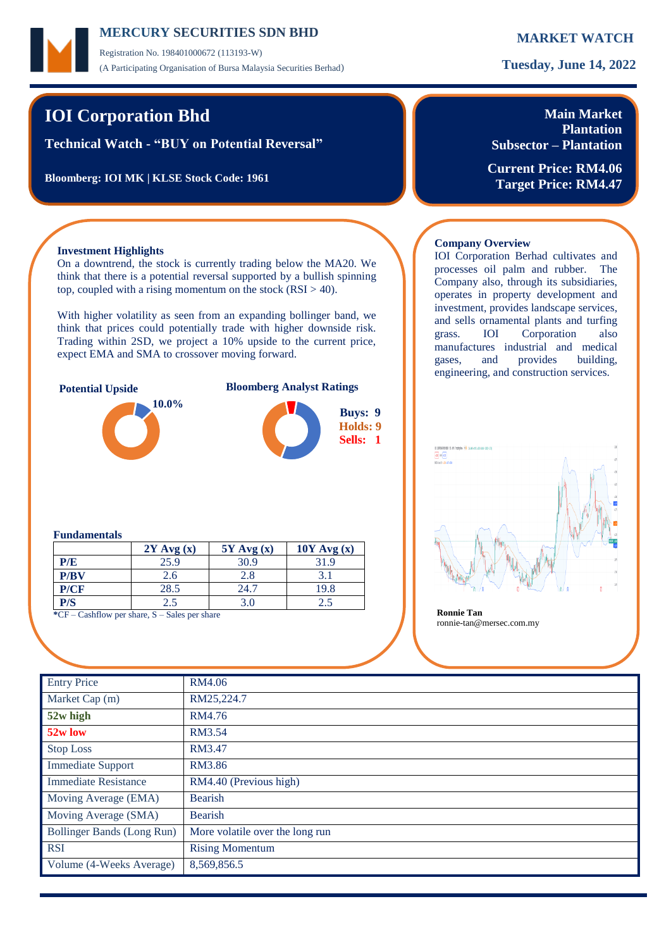Registration No. 198401000672 (113193-W) (A Participating Organisation of Bursa Malaysia Securities Berhad) **Tuesday, June 14, 2022**

# **IOI Corporation Bhd**

**Technical Watch - "BUY on Potential Reversal"**

**Bloomberg: IOI MK | KLSE Stock Code: 1961**

## **Main Market Plantation Subsector – Plantation**

**Current Price: RM4.06 Target Price: RM4.47**

## **Investment Highlights**

On a downtrend, the stock is currently trading below the MA20. We think that there is a potential reversal supported by a bullish spinning top, coupled with a rising momentum on the stock  $(RSI > 40)$ .

With higher volatility as seen from an expanding bollinger band, we think that prices could potentially trade with higher downside risk. Trading within 2SD, we project a 10% upside to the current price, expect EMA and SMA to crossover moving forward.



### **Fundamentals**

|      | $2Y$ Avg $(x)$ | $5Y$ Avg $(x)$ | $10Y$ Avg $(x)$ |  |  |
|------|----------------|----------------|-----------------|--|--|
| P/E  | 25.9           | 30.9           | 31.9            |  |  |
| P/BV | 2.6            | 2.8            | 3.1             |  |  |
| P/CF | 28.5           | 24.7           | 19.8            |  |  |
| P/S  | 2.5            | 3.0            |                 |  |  |

**\***CF – Cashflow per share, S – Sales per share **Ronnie Tan**

## **Company Overview**

IOI Corporation Berhad cultivates and processes oil palm and rubber. The Company also, through its subsidiaries, operates in property development and investment, provides landscape services, and sells ornamental plants and turfing grass. IOI Corporation also manufactures industrial and medical gases, and provides building, engineering, and construction services.



ronnie-tan@mersec.com.my

| <b>Entry Price</b>          | RM4.06                          |
|-----------------------------|---------------------------------|
| Market Cap (m)              | RM25,224.7                      |
| 52w high                    | RM4.76                          |
| 52w low                     | RM3.54                          |
| <b>Stop Loss</b>            | RM3.47                          |
| <b>Immediate Support</b>    | RM3.86                          |
| <b>Immediate Resistance</b> | RM4.40 (Previous high)          |
| Moving Average (EMA)        | <b>Bearish</b>                  |
| Moving Average (SMA)        | <b>Bearish</b>                  |
| Bollinger Bands (Long Run)  | More volatile over the long run |
| <b>RSI</b>                  | <b>Rising Momentum</b>          |
| Volume (4-Weeks Average)    | 8,569,856.5                     |
|                             |                                 |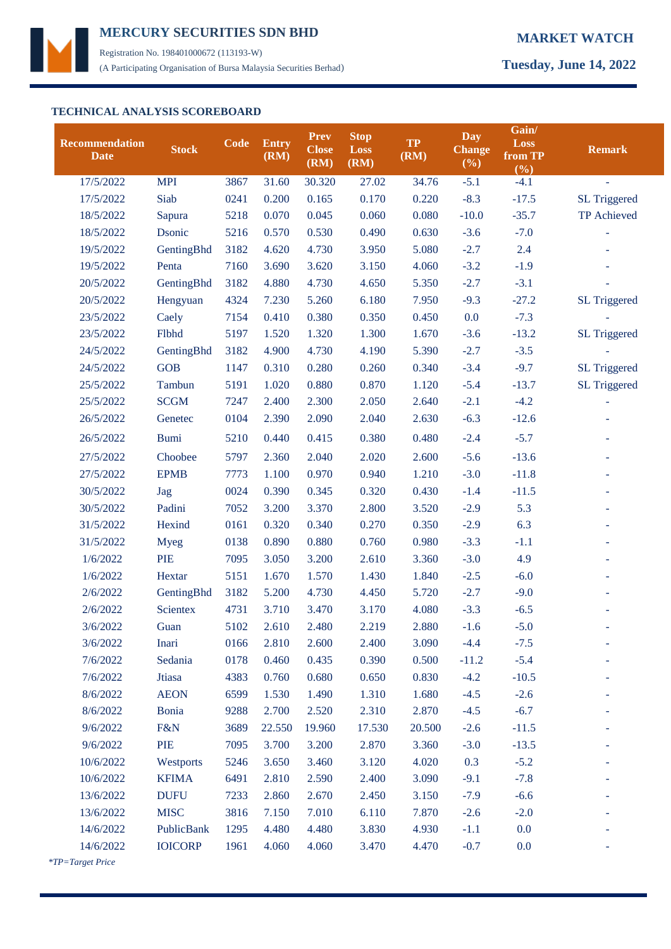

Registration No. 198401000672 (113193-W) (A Participating Organisation of Bursa Malaysia Securities Berhad) **Tuesday, June 14, 2022**

## **TECHNICAL ANALYSIS SCOREBOARD**

| <b>Recommendation</b><br><b>Date</b> | <b>Stock</b>    | Code | <b>Entry</b><br>(RM) | <b>Prev</b><br><b>Close</b><br>(RM) | <b>Stop</b><br><b>Loss</b><br>(RM) | <b>TP</b><br>(RM) | <b>Day</b><br><b>Change</b><br>(%) | Gain/<br>Loss<br>from TP<br>(%) | <b>Remark</b>       |
|--------------------------------------|-----------------|------|----------------------|-------------------------------------|------------------------------------|-------------------|------------------------------------|---------------------------------|---------------------|
| 17/5/2022                            | <b>MPI</b>      | 3867 | 31.60                | 30.320                              | 27.02                              | 34.76             | $-5.1$                             | $-4.1$                          | $\equiv$            |
| 17/5/2022                            | Siab            | 0241 | 0.200                | 0.165                               | 0.170                              | 0.220             | $-8.3$                             | $-17.5$                         | <b>SL Triggered</b> |
| 18/5/2022                            | Sapura          | 5218 | 0.070                | 0.045                               | 0.060                              | 0.080             | $-10.0$                            | $-35.7$                         | TP Achieved         |
| 18/5/2022                            | Dsonic          | 5216 | 0.570                | 0.530                               | 0.490                              | 0.630             | $-3.6$                             | $-7.0$                          |                     |
| 19/5/2022                            | GentingBhd      | 3182 | 4.620                | 4.730                               | 3.950                              | 5.080             | $-2.7$                             | 2.4                             |                     |
| 19/5/2022                            | Penta           | 7160 | 3.690                | 3.620                               | 3.150                              | 4.060             | $-3.2$                             | $-1.9$                          |                     |
| 20/5/2022                            | GentingBhd      | 3182 | 4.880                | 4.730                               | 4.650                              | 5.350             | $-2.7$                             | $-3.1$                          |                     |
| 20/5/2022                            | Hengyuan        | 4324 | 7.230                | 5.260                               | 6.180                              | 7.950             | $-9.3$                             | $-27.2$                         | <b>SL Triggered</b> |
| 23/5/2022                            | Caely           | 7154 | 0.410                | 0.380                               | 0.350                              | 0.450             | 0.0                                | $-7.3$                          |                     |
| 23/5/2022                            | Flbhd           | 5197 | 1.520                | 1.320                               | 1.300                              | 1.670             | $-3.6$                             | $-13.2$                         | <b>SL Triggered</b> |
| 24/5/2022                            | GentingBhd      | 3182 | 4.900                | 4.730                               | 4.190                              | 5.390             | $-2.7$                             | $-3.5$                          |                     |
| 24/5/2022                            | <b>GOB</b>      | 1147 | 0.310                | 0.280                               | 0.260                              | 0.340             | $-3.4$                             | $-9.7$                          | <b>SL Triggered</b> |
| 25/5/2022                            | Tambun          | 5191 | 1.020                | 0.880                               | 0.870                              | 1.120             | $-5.4$                             | $-13.7$                         | <b>SL Triggered</b> |
| 25/5/2022                            | <b>SCGM</b>     | 7247 | 2.400                | 2.300                               | 2.050                              | 2.640             | $-2.1$                             | $-4.2$                          |                     |
| 26/5/2022                            | Genetec         | 0104 | 2.390                | 2.090                               | 2.040                              | 2.630             | $-6.3$                             | $-12.6$                         |                     |
| 26/5/2022                            | <b>Bumi</b>     | 5210 | 0.440                | 0.415                               | 0.380                              | 0.480             | $-2.4$                             | $-5.7$                          |                     |
| 27/5/2022                            | Choobee         | 5797 | 2.360                | 2.040                               | 2.020                              | 2.600             | $-5.6$                             | $-13.6$                         |                     |
| 27/5/2022                            | <b>EPMB</b>     | 7773 | 1.100                | 0.970                               | 0.940                              | 1.210             | $-3.0$                             | $-11.8$                         |                     |
| 30/5/2022                            | Jag             | 0024 | 0.390                | 0.345                               | 0.320                              | 0.430             | $-1.4$                             | $-11.5$                         |                     |
| 30/5/2022                            | Padini          | 7052 | 3.200                | 3.370                               | 2.800                              | 3.520             | $-2.9$                             | 5.3                             |                     |
| 31/5/2022                            | Hexind          | 0161 | 0.320                | 0.340                               | 0.270                              | 0.350             | $-2.9$                             | 6.3                             |                     |
| 31/5/2022                            | <b>Myeg</b>     | 0138 | 0.890                | 0.880                               | 0.760                              | 0.980             | $-3.3$                             | $-1.1$                          |                     |
| 1/6/2022                             | PIE             | 7095 | 3.050                | 3.200                               | 2.610                              | 3.360             | $-3.0$                             | 4.9                             |                     |
| 1/6/2022                             | Hextar          | 5151 | 1.670                | 1.570                               | 1.430                              | 1.840             | $-2.5$                             | $-6.0$                          |                     |
| 2/6/2022                             | GentingBhd      | 3182 | 5.200                | 4.730                               | 4.450                              | 5.720             | $-2.7$                             | $-9.0$                          |                     |
| 2/6/2022                             | <b>Scientex</b> | 4731 | 3.710                | 3.470                               | 3.170                              | 4.080             | $-3.3$                             | $-6.5$                          |                     |
| 3/6/2022                             | Guan            | 5102 | 2.610                | 2.480                               | 2.219                              | 2.880             | $-1.6$                             | $-5.0$                          |                     |
| 3/6/2022                             | Inari           | 0166 | 2.810                | 2.600                               | 2.400                              | 3.090             | $-4.4$                             | $-7.5$                          |                     |
| 7/6/2022                             | Sedania         | 0178 | 0.460                | 0.435                               | 0.390                              | 0.500             | $-11.2$                            | $-5.4$                          |                     |
| 7/6/2022                             | Jtiasa          | 4383 | 0.760                | 0.680                               | 0.650                              | 0.830             | $-4.2$                             | $-10.5$                         |                     |
| 8/6/2022                             | <b>AEON</b>     | 6599 | 1.530                | 1.490                               | 1.310                              | 1.680             | $-4.5$                             | $-2.6$                          |                     |
| 8/6/2022                             | Bonia           | 9288 | 2.700                | 2.520                               | 2.310                              | 2.870             | $-4.5$                             | $-6.7$                          |                     |
| 9/6/2022                             | F&N             | 3689 | 22.550               | 19.960                              | 17.530                             | 20.500            | $-2.6$                             | $-11.5$                         |                     |
| 9/6/2022                             | PIE             | 7095 | 3.700                | 3.200                               | 2.870                              | 3.360             | $-3.0$                             | $-13.5$                         |                     |
| 10/6/2022                            | Westports       | 5246 | 3.650                | 3.460                               | 3.120                              | 4.020             | 0.3                                | $-5.2$                          |                     |
| 10/6/2022                            | <b>KFIMA</b>    | 6491 | 2.810                | 2.590                               | 2.400                              | 3.090             | $-9.1$                             | $-7.8$                          |                     |
| 13/6/2022                            | <b>DUFU</b>     | 7233 | 2.860                | 2.670                               | 2.450                              | 3.150             | $-7.9$                             | $-6.6$                          |                     |
| 13/6/2022                            | <b>MISC</b>     | 3816 | 7.150                | 7.010                               | 6.110                              | 7.870             | $-2.6$                             | $-2.0$                          |                     |
| 14/6/2022                            | PublicBank      | 1295 | 4.480                | 4.480                               | 3.830                              | 4.930             | $-1.1$                             | 0.0                             |                     |
| 14/6/2022                            | <b>IOICORP</b>  | 1961 | 4.060                | 4.060                               | 3.470                              | 4.470             | $-0.7$                             | 0.0                             |                     |
|                                      |                 |      |                      |                                     |                                    |                   |                                    |                                 |                     |

 *\*TP=Target Price*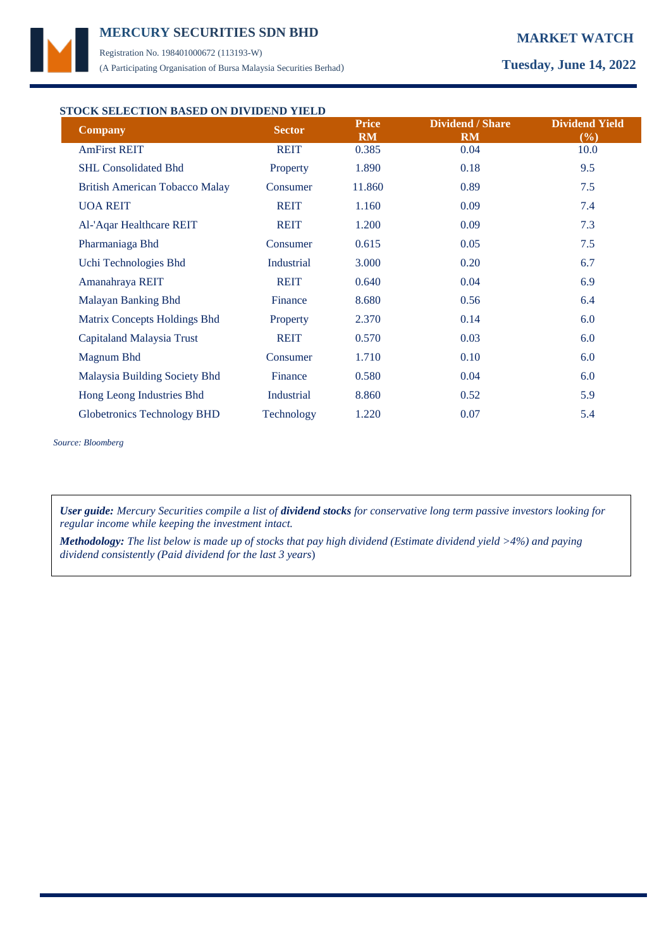

Registration No. 198401000672 (113193-W) (A Participating Organisation of Bursa Malaysia Securities Berhad) **Tuesday, June 14, 2022**

# **STOCK SELECTION BASED ON DIVIDEND YIELD**

| <b>Company</b>                        | <b>Sector</b> | <b>Price</b><br><b>RM</b> | <b>Dividend / Share</b><br><b>RM</b> | <b>Dividend Yield</b><br>(%) |  |
|---------------------------------------|---------------|---------------------------|--------------------------------------|------------------------------|--|
| <b>AmFirst REIT</b>                   | <b>REIT</b>   | 0.385                     | 0.04                                 | 10.0                         |  |
| <b>SHL Consolidated Bhd</b>           | Property      | 1.890                     | 0.18                                 | 9.5                          |  |
| <b>British American Tobacco Malay</b> | Consumer      | 11.860                    | 0.89                                 | 7.5                          |  |
| <b>UOA REIT</b>                       | <b>REIT</b>   | 1.160                     | 0.09                                 | 7.4                          |  |
| Al-'Aqar Healthcare REIT              | <b>REIT</b>   | 1.200                     | 0.09                                 | 7.3                          |  |
| Pharmaniaga Bhd                       | Consumer      | 0.615                     | 0.05                                 | 7.5                          |  |
| Uchi Technologies Bhd                 | Industrial    | 3.000                     | 0.20                                 | 6.7                          |  |
| Amanahraya REIT                       | <b>REIT</b>   | 0.640                     | 0.04                                 | 6.9                          |  |
| Malayan Banking Bhd                   | Finance       | 8.680                     | 0.56                                 | 6.4                          |  |
| Matrix Concepts Holdings Bhd          | Property      | 2.370                     | 0.14                                 | 6.0                          |  |
| Capitaland Malaysia Trust             | <b>REIT</b>   | 0.570                     | 0.03                                 | 6.0                          |  |
| Magnum Bhd                            | Consumer      | 1.710                     | 0.10                                 | 6.0                          |  |
| Malaysia Building Society Bhd         | Finance       | 0.580                     | 0.04                                 | 6.0                          |  |
| Hong Leong Industries Bhd             | Industrial    | 8.860                     | 0.52                                 | 5.9                          |  |
| Globetronics Technology BHD           | Technology    | 1.220                     | 0.07                                 | 5.4                          |  |

*Source: Bloomberg*

*User guide: Mercury Securities compile a list of dividend stocks for conservative long term passive investors looking for regular income while keeping the investment intact.*

*Methodology: The list below is made up of stocks that pay high dividend (Estimate dividend yield >4%) and paying dividend consistently (Paid dividend for the last 3 years*)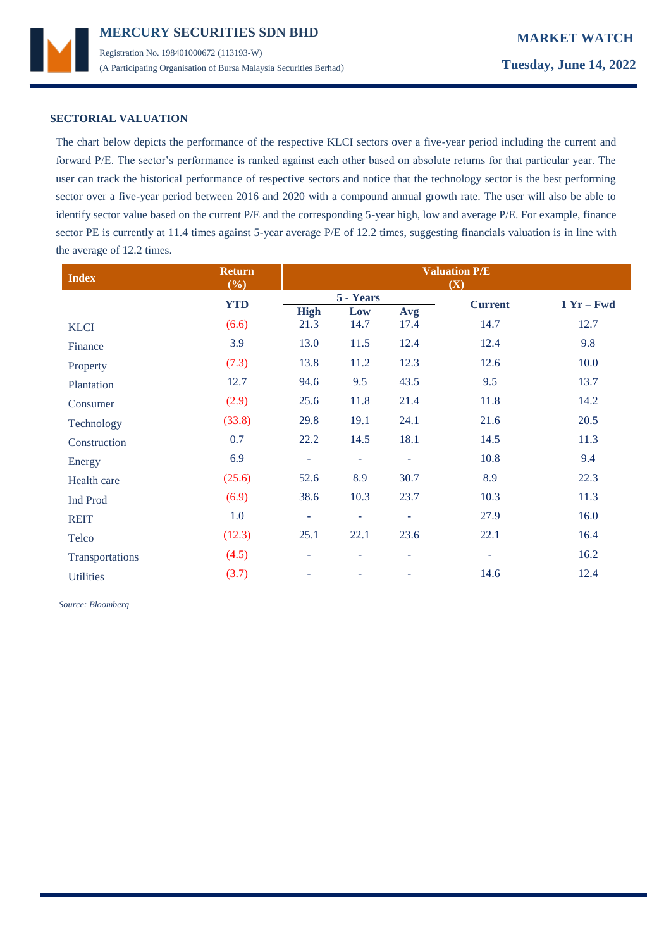

## **SECTORIAL VALUATION**

The chart below depicts the performance of the respective KLCI sectors over a five-year period including the current and forward P/E. The sector's performance is ranked against each other based on absolute returns for that particular year. The user can track the historical performance of respective sectors and notice that the technology sector is the best performing sector over a five-year period between 2016 and 2020 with a compound annual growth rate. The user will also be able to identify sector value based on the current P/E and the corresponding 5-year high, low and average P/E. For example, finance sector PE is currently at 11.4 times against 5-year average P/E of 12.2 times, suggesting financials valuation is in line with the average of 12.2 times.

| <b>Index</b>     | <b>Return</b><br>(%) | <b>Valuation P/E</b><br>(X) |                          |                          |                          |              |
|------------------|----------------------|-----------------------------|--------------------------|--------------------------|--------------------------|--------------|
|                  | <b>YTD</b>           |                             | 5 - Years                |                          | <b>Current</b>           | $1 Yr - Fwd$ |
|                  |                      | <b>High</b>                 | Low                      | Avg                      |                          |              |
| <b>KLCI</b>      | (6.6)                | 21.3                        | 14.7                     | 17.4                     | 14.7                     | 12.7         |
| Finance          | 3.9                  | 13.0                        | 11.5                     | 12.4                     | 12.4                     | 9.8          |
| Property         | (7.3)                | 13.8                        | 11.2                     | 12.3                     | 12.6                     | 10.0         |
| Plantation       | 12.7                 | 94.6                        | 9.5                      | 43.5                     | 9.5                      | 13.7         |
| Consumer         | (2.9)                | 25.6                        | 11.8                     | 21.4                     | 11.8                     | 14.2         |
| Technology       | (33.8)               | 29.8                        | 19.1                     | 24.1                     | 21.6                     | 20.5         |
| Construction     | 0.7                  | 22.2                        | 14.5                     | 18.1                     | 14.5                     | 11.3         |
| Energy           | 6.9                  | $\equiv$                    | ÷                        | ۰                        | 10.8                     | 9.4          |
| Health care      | (25.6)               | 52.6                        | 8.9                      | 30.7                     | 8.9                      | 22.3         |
| <b>Ind Prod</b>  | (6.9)                | 38.6                        | 10.3                     | 23.7                     | 10.3                     | 11.3         |
| <b>REIT</b>      | 1.0                  | $\equiv$                    | $\bar{a}$                | $\overline{\phantom{a}}$ | 27.9                     | 16.0         |
| Telco            | (12.3)               | 25.1                        | 22.1                     | 23.6                     | 22.1                     | 16.4         |
| Transportations  | (4.5)                | ÷                           | $\overline{\phantom{a}}$ | $\overline{\phantom{a}}$ | $\overline{\phantom{a}}$ | 16.2         |
| <b>Utilities</b> | (3.7)                | ÷                           |                          |                          | 14.6                     | 12.4         |

 *Source: Bloomberg*